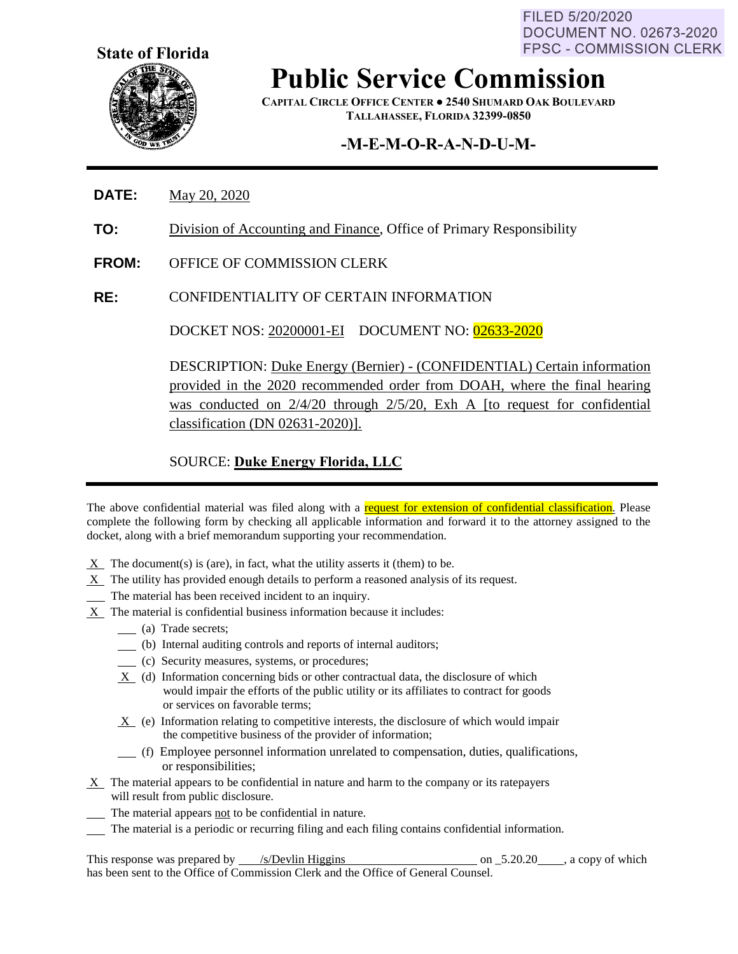FILED 5/20/2020 **DOCUMENT NO. 02673-2020 FPSC - COMMISSION CLERK** 



**Public Service Commission**

**CAPITAL CIRCLE OFFICE CENTER ● 2540 SHUMARD OAK BOULEVARD TALLAHASSEE, FLORIDA 32399-0850**

## **-M-E-M-O-R-A-N-D-U-M-**

- **DATE:** May 20, 2020
- **TO:** Division of Accounting and Finance, Office of Primary Responsibility
- **FROM:** OFFICE OF COMMISSION CLERK
- **RE:** CONFIDENTIALITY OF CERTAIN INFORMATION

DOCKET NOS: 20200001-EI DOCUMENT NO: 02633-2020

DESCRIPTION: Duke Energy (Bernier) - (CONFIDENTIAL) Certain information provided in the 2020 recommended order from DOAH, where the final hearing was conducted on 2/4/20 through 2/5/20, Exh A [to request for confidential classification (DN 02631-2020)].

#### SOURCE: **Duke Energy Florida, LLC**

The above confidential material was filed along with a request for extension of confidential classification. Please complete the following form by checking all applicable information and forward it to the attorney assigned to the docket, along with a brief memorandum supporting your recommendation.

- $X$  The document(s) is (are), in fact, what the utility asserts it (them) to be.
- $X$  The utility has provided enough details to perform a reasoned analysis of its request.
- The material has been received incident to an inquiry.
- X The material is confidential business information because it includes:
	- (a) Trade secrets;
	- (b) Internal auditing controls and reports of internal auditors;
	- (c) Security measures, systems, or procedures;
	- X (d) Information concerning bids or other contractual data, the disclosure of which would impair the efforts of the public utility or its affiliates to contract for goods or services on favorable terms;
	- $X_$  (e) Information relating to competitive interests, the disclosure of which would impair the competitive business of the provider of information;
	- (f) Employee personnel information unrelated to compensation, duties, qualifications, or responsibilities;
- X The material appears to be confidential in nature and harm to the company or its ratepayers will result from public disclosure.
- The material appears not to be confidential in nature.
- The material is a periodic or recurring filing and each filing contains confidential information.

This response was prepared by  $\frac{\sqrt{s}}{2}$  /s/Devlin Higgins on  $\frac{5.20.20}{\sqrt{s}}$ , a copy of which has been sent to the Office of Commission Clerk and the Office of General Counsel.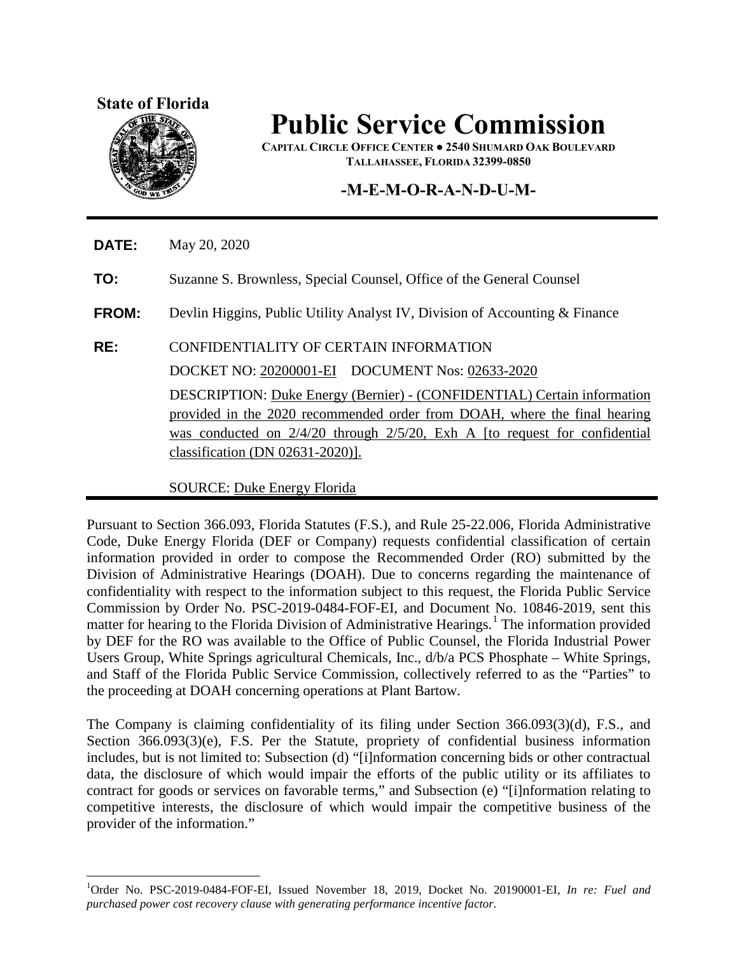#### **State of Florida**



# **Public Service Commission**

**CAPITAL CIRCLE OFFICE CENTER ● 2540 SHUMARD OAK BOULEVARD TALLAHASSEE, FLORIDA 32399-0850**

### **-M-E-M-O-R-A-N-D-U-M-**

**DATE:** May 20, 2020

**TO:** Suzanne S. Brownless, Special Counsel, Office of the General Counsel

**FROM:** Devlin Higgins, Public Utility Analyst IV, Division of Accounting & Finance

**RE:** CONFIDENTIALITY OF CERTAIN INFORMATION

DOCKET NO: 20200001-EI DOCUMENT Nos: 02633-2020

DESCRIPTION: Duke Energy (Bernier) - (CONFIDENTIAL) Certain information provided in the 2020 recommended order from DOAH, where the final hearing was conducted on  $2/4/20$  through  $2/5/20$ , Exh A [to request for confidential classification (DN 02631-2020)].

SOURCE: Duke Energy Florida

Pursuant to Section 366.093, Florida Statutes (F.S.), and Rule 25-22.006, Florida Administrative Code, Duke Energy Florida (DEF or Company) requests confidential classification of certain information provided in order to compose the Recommended Order (RO) submitted by the Division of Administrative Hearings (DOAH). Due to concerns regarding the maintenance of confidentiality with respect to the information subject to this request, the Florida Public Service Commission by Order No. PSC-2019-0484-FOF-EI, and Document No. 10846-2019, sent this matter for hearing to the Florida Division of Administrative Hearings.<sup>[1](#page-1-0)</sup> The information provided by DEF for the RO was available to the Office of Public Counsel, the Florida Industrial Power Users Group, White Springs agricultural Chemicals, Inc., d/b/a PCS Phosphate – White Springs, and Staff of the Florida Public Service Commission, collectively referred to as the "Parties" to the proceeding at DOAH concerning operations at Plant Bartow.

The Company is claiming confidentiality of its filing under Section 366.093(3)(d), F.S., and Section 366.093(3)(e), F.S. Per the Statute, propriety of confidential business information includes, but is not limited to: Subsection (d) "[i]nformation concerning bids or other contractual data, the disclosure of which would impair the efforts of the public utility or its affiliates to contract for goods or services on favorable terms," and Subsection (e) "[i]nformation relating to competitive interests, the disclosure of which would impair the competitive business of the provider of the information."

<span id="page-1-0"></span> $\overline{a}$ 1 Order No. PSC-2019-0484-FOF-EI, Issued November 18, 2019, Docket No. 20190001-EI, *In re: Fuel and purchased power cost recovery clause with generating performance incentive factor*.